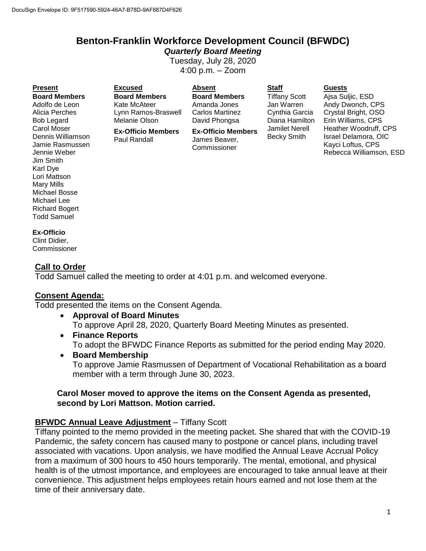# **Benton-Franklin Workforce Development Council (BFWDC)**

*Quarterly Board Meeting* Tuesday, July 28, 2020

4:00 p.m. – Zoom

**Board Members** Adolfo de Leon Alicia Perches Bob Legard Carol Moser Dennis Williamson Jamie Rasmussen Jennie Weber Jim Smith Karl Dye Lori Mattson Mary Mills Michael Bosse Michael Lee Richard Bogert Todd Samuel

**Present Excused Absent Staff Guests Board Members** Kate McAteer Lynn Ramos-Braswell Melanie Olson

> **Ex-Officio Members** Paul Randall

**Board Members** Amanda Jones Carlos Martinez David Phongsa

**Ex-Officio Members** James Beaver, Commissioner

Tiffany Scott Jan Warren Cynthia Garcia Diana Hamilton Jamilet Nerell Becky Smith

Ajsa Suljic, ESD Andy Dwonch, CPS Crystal Bright, OSO Erin Williams, CPS Heather Woodruff, CPS Israel Delamora, OIC Kayci Loftus, CPS Rebecca Williamson, ESD

#### **Ex-Officio**

Clint Didier, **Commissioner** 

#### **Call to Order**

Todd Samuel called the meeting to order at 4:01 p.m. and welcomed everyone.

#### **Consent Agenda:**

Todd presented the items on the Consent Agenda.

- **Approval of Board Minutes** To approve April 28, 2020, Quarterly Board Meeting Minutes as presented.
- **Finance Reports** To adopt the BFWDC Finance Reports as submitted for the period ending May 2020.
- **Board Membership** To approve Jamie Rasmussen of Department of Vocational Rehabilitation as a board member with a term through June 30, 2023.

#### **Carol Moser moved to approve the items on the Consent Agenda as presented, second by Lori Mattson. Motion carried.**

#### **BFWDC Annual Leave Adjustment** – Tiffany Scott

Tiffany pointed to the memo provided in the meeting packet. She shared that with the COVID-19 Pandemic, the safety concern has caused many to postpone or cancel plans, including travel associated with vacations. Upon analysis, we have modified the Annual Leave Accrual Policy from a maximum of 300 hours to 450 hours temporarily. The mental, emotional, and physical health is of the utmost importance, and employees are encouraged to take annual leave at their convenience. This adjustment helps employees retain hours earned and not lose them at the time of their anniversary date.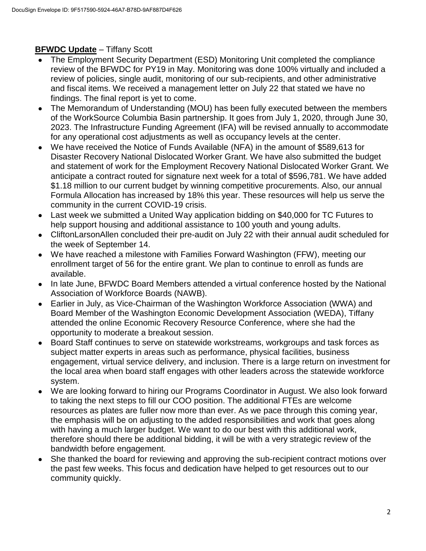# **BFWDC Update** – Tiffany Scott

- The Employment Security Department (ESD) Monitoring Unit completed the compliance review of the BFWDC for PY19 in May. Monitoring was done 100% virtually and included a review of policies, single audit, monitoring of our sub-recipients, and other administrative and fiscal items. We received a management letter on July 22 that stated we have no findings. The final report is yet to come.
- The Memorandum of Understanding (MOU) has been fully executed between the members of the WorkSource Columbia Basin partnership. It goes from July 1, 2020, through June 30, 2023. The Infrastructure Funding Agreement (IFA) will be revised annually to accommodate for any operational cost adjustments as well as occupancy levels at the center.
- We have received the Notice of Funds Available (NFA) in the amount of \$589,613 for Disaster Recovery National Dislocated Worker Grant. We have also submitted the budget and statement of work for the Employment Recovery National Dislocated Worker Grant. We anticipate a contract routed for signature next week for a total of \$596,781. We have added \$1.18 million to our current budget by winning competitive procurements. Also, our annual Formula Allocation has increased by 18% this year. These resources will help us serve the community in the current COVID-19 crisis.
- Last week we submitted a United Way application bidding on \$40,000 for TC Futures to help support housing and additional assistance to 100 youth and young adults.
- CliftonLarsonAllen concluded their pre-audit on July 22 with their annual audit scheduled for the week of September 14.
- We have reached a milestone with Families Forward Washington (FFW), meeting our enrollment target of 56 for the entire grant. We plan to continue to enroll as funds are available.
- In late June, BFWDC Board Members attended a virtual conference hosted by the National Association of Workforce Boards (NAWB).
- Earlier in July, as Vice-Chairman of the Washington Workforce Association (WWA) and Board Member of the Washington Economic Development Association (WEDA), Tiffany attended the online Economic Recovery Resource Conference, where she had the opportunity to moderate a breakout session.
- Board Staff continues to serve on statewide workstreams, workgroups and task forces as subject matter experts in areas such as performance, physical facilities, business engagement, virtual service delivery, and inclusion. There is a large return on investment for the local area when board staff engages with other leaders across the statewide workforce system.
- We are looking forward to hiring our Programs Coordinator in August. We also look forward to taking the next steps to fill our COO position. The additional FTEs are welcome resources as plates are fuller now more than ever. As we pace through this coming year, the emphasis will be on adjusting to the added responsibilities and work that goes along with having a much larger budget. We want to do our best with this additional work, therefore should there be additional bidding, it will be with a very strategic review of the bandwidth before engagement.
- She thanked the board for reviewing and approving the sub-recipient contract motions over the past few weeks. This focus and dedication have helped to get resources out to our community quickly.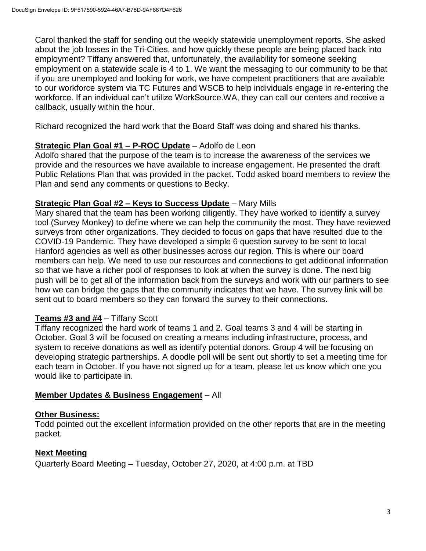Carol thanked the staff for sending out the weekly statewide unemployment reports. She asked about the job losses in the Tri-Cities, and how quickly these people are being placed back into employment? Tiffany answered that, unfortunately, the availability for someone seeking employment on a statewide scale is 4 to 1. We want the messaging to our community to be that if you are unemployed and looking for work, we have competent practitioners that are available to our workforce system via TC Futures and WSCB to help individuals engage in re-entering the workforce. If an individual can't utilize WorkSource.WA, they can call our centers and receive a callback, usually within the hour.

Richard recognized the hard work that the Board Staff was doing and shared his thanks.

# **Strategic Plan Goal #1 – P-ROC Update** – Adolfo de Leon

Adolfo shared that the purpose of the team is to increase the awareness of the services we provide and the resources we have available to increase engagement. He presented the draft Public Relations Plan that was provided in the packet. Todd asked board members to review the Plan and send any comments or questions to Becky.

# **Strategic Plan Goal #2 – Keys to Success Update** – Mary Mills

Mary shared that the team has been working diligently. They have worked to identify a survey tool (Survey Monkey) to define where we can help the community the most. They have reviewed surveys from other organizations. They decided to focus on gaps that have resulted due to the COVID-19 Pandemic. They have developed a simple 6 question survey to be sent to local Hanford agencies as well as other businesses across our region. This is where our board members can help. We need to use our resources and connections to get additional information so that we have a richer pool of responses to look at when the survey is done. The next big push will be to get all of the information back from the surveys and work with our partners to see how we can bridge the gaps that the community indicates that we have. The survey link will be sent out to board members so they can forward the survey to their connections.

# **Teams #3 and #4** – Tiffany Scott

Tiffany recognized the hard work of teams 1 and 2. Goal teams 3 and 4 will be starting in October. Goal 3 will be focused on creating a means including infrastructure, process, and system to receive donations as well as identify potential donors. Group 4 will be focusing on developing strategic partnerships. A doodle poll will be sent out shortly to set a meeting time for each team in October. If you have not signed up for a team, please let us know which one you would like to participate in.

# **Member Updates & Business Engagement** – All

# **Other Business:**

Todd pointed out the excellent information provided on the other reports that are in the meeting packet.

# **Next Meeting**

Quarterly Board Meeting – Tuesday, October 27, 2020, at 4:00 p.m. at TBD